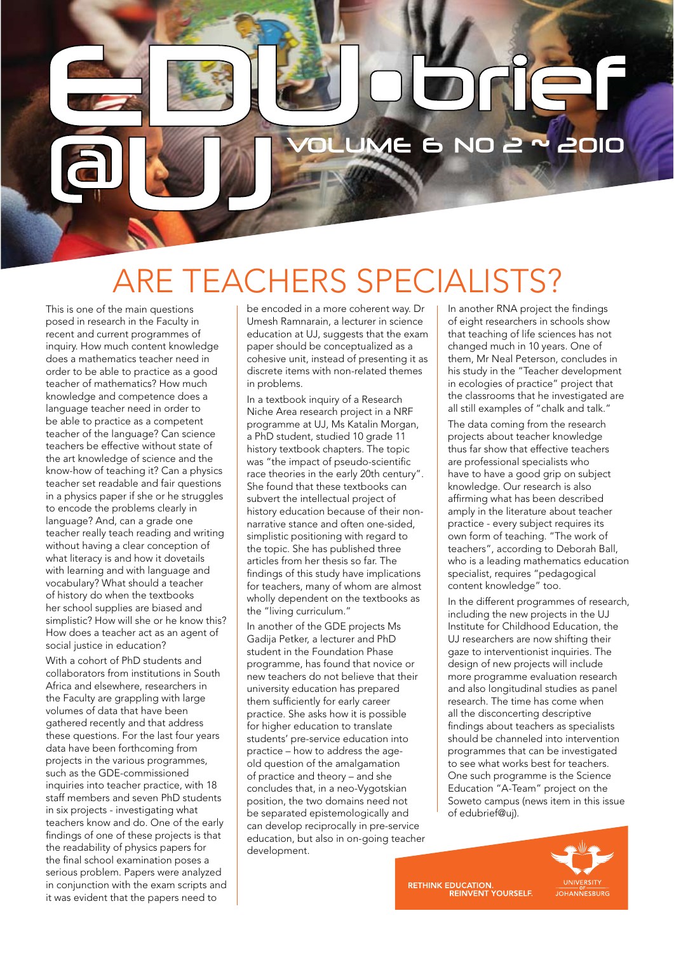# ARE TEACHERS SPECIALISTS?

**LUME** 

This is one of the main questions posed in research in the Faculty in recent and current programmes of inquiry. How much content knowledge does a mathematics teacher need in order to be able to practice as a good teacher of mathematics? How much knowledge and competence does a language teacher need in order to be able to practice as a competent teacher of the language? Can science teachers be effective without state of the art knowledge of science and the know-how of teaching it? Can a physics teacher set readable and fair questions in a physics paper if she or he struggles to encode the problems clearly in language? And, can a grade one teacher really teach reading and writing without having a clear conception of what literacy is and how it dovetails with learning and with language and vocabulary? What should a teacher of history do when the textbooks her school supplies are biased and simplistic? How will she or he know this? How does a teacher act as an agent of social justice in education?

With a cohort of PhD students and collaborators from institutions in South Africa and elsewhere, researchers in the Faculty are grappling with large volumes of data that have been gathered recently and that address these questions. For the last four years data have been forthcoming from projects in the various programmes, such as the GDE-commissioned inquiries into teacher practice, with 18 staff members and seven PhD students in six projects - investigating what teachers know and do. One of the early findings of one of these projects is that the readability of physics papers for the final school examination poses a serious problem. Papers were analyzed in conjunction with the exam scripts and it was evident that the papers need to

be encoded in a more coherent way. Dr Umesh Ramnarain, a lecturer in science education at UJ, suggests that the exam paper should be conceptualized as a cohesive unit, instead of presenting it as discrete items with non-related themes in problems.

In a textbook inquiry of a Research Niche Area research project in a NRF programme at UJ, Ms Katalin Morgan, a PhD student, studied 10 grade 11 history textbook chapters. The topic was "the impact of pseudo-scientific race theories in the early 20th century". She found that these textbooks can subvert the intellectual project of history education because of their nonnarrative stance and often one-sided, simplistic positioning with regard to the topic. She has published three articles from her thesis so far. The findings of this study have implications for teachers, many of whom are almost wholly dependent on the textbooks as the "living curriculum."

In another of the GDE projects Ms Gadija Petker, a lecturer and PhD student in the Foundation Phase programme, has found that novice or new teachers do not believe that their university education has prepared them sufficiently for early career practice. She asks how it is possible for higher education to translate students' pre-service education into practice – how to address the ageold question of the amalgamation of practice and theory – and she concludes that, in a neo-Vygotskian position, the two domains need not be separated epistemologically and can develop reciprocally in pre-service education, but also in on-going teacher development.

In another RNA project the findings of eight researchers in schools show that teaching of life sciences has not changed much in 10 years. One of them, Mr Neal Peterson, concludes in his study in the "Teacher development in ecologies of practice" project that the classrooms that he investigated are all still examples of "chalk and talk."

2010

The data coming from the research projects about teacher knowledge thus far show that effective teachers are professional specialists who have to have a good grip on subject knowledge. Our research is also affirming what has been described amply in the literature about teacher practice - every subject requires its own form of teaching. "The work of teachers", according to Deborah Ball, who is a leading mathematics education specialist, requires "pedagogical content knowledge" too.

In the different programmes of research, including the new projects in the UJ Institute for Childhood Education, the UJ researchers are now shifting their gaze to interventionist inquiries. The design of new projects will include more programme evaluation research and also longitudinal studies as panel research. The time has come when all the disconcerting descriptive findings about teachers as specialists should be channeled into intervention programmes that can be investigated to see what works best for teachers. One such programme is the Science Education "A-Team" project on the Soweto campus (news item in this issue of edubrief@uj).



RETHINK EDUCATION.<br>REINVENT YOURSELF.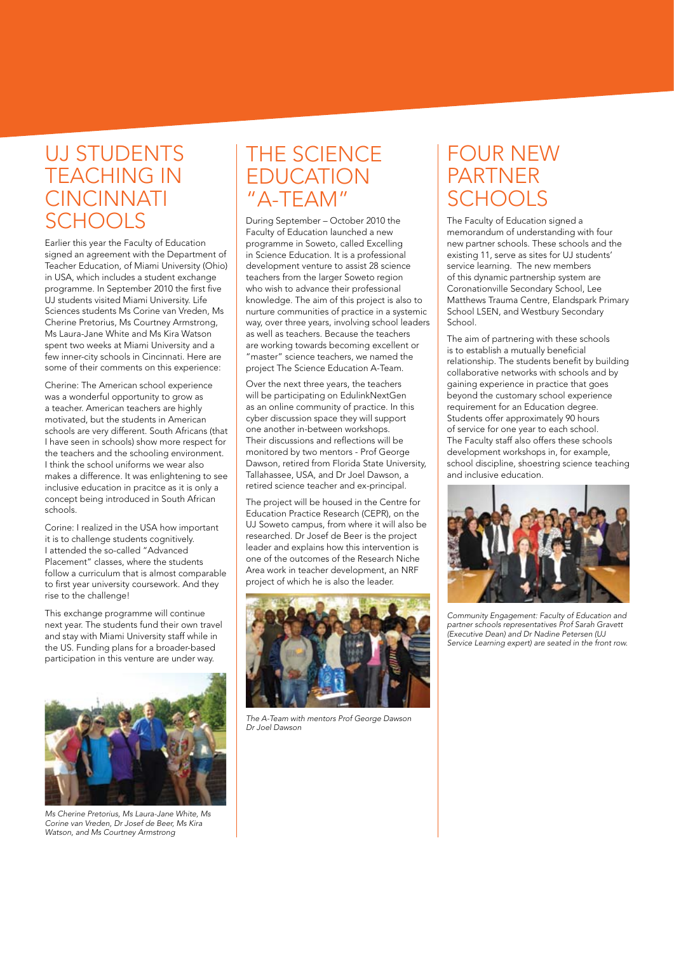#### UJ STUDENTS TEACHING IN **CINCINNATI SCHOOLS**

Earlier this year the Faculty of Education signed an agreement with the Department of Teacher Education, of Miami University (Ohio) in USA, which includes a student exchange programme. In September 2010 the first five UJ students visited Miami University. Life Sciences students Ms Corine van Vreden, Ms Cherine Pretorius, Ms Courtney Armstrong, Ms Laura-Jane White and Ms Kira Watson spent two weeks at Miami University and a few inner-city schools in Cincinnati. Here are some of their comments on this experience:

Cherine: The American school experience was a wonderful opportunity to grow as a teacher. American teachers are highly motivated, but the students in American schools are very different. South Africans (that I have seen in schools) show more respect for the teachers and the schooling environment. I think the school uniforms we wear also makes a difference. It was enlightening to see inclusive education in pracitce as it is only a concept being introduced in South African schools.

Corine: I realized in the USA how important it is to challenge students cognitively. I attended the so-called "Advanced Placement" classes, where the students follow a curriculum that is almost comparable to first year university coursework. And they rise to the challenge!

This exchange programme will continue next year. The students fund their own travel and stay with Miami University staff while in the US. Funding plans for a broader-based participation in this venture are under way.



*Ms Cherine Pretorius, Ms Laura-Jane White, Ms Corine van Vreden, Dr Josef de Beer, Ms Kira Watson, and Ms Courtney Armstrong*

#### THE SCIENCE EDUCATION "A-TEAM"

During September – October 2010 the Faculty of Education launched a new programme in Soweto, called Excelling in Science Education. It is a professional development venture to assist 28 science teachers from the larger Soweto region who wish to advance their professional knowledge. The aim of this project is also to nurture communities of practice in a systemic way, over three years, involving school leaders as well as teachers. Because the teachers are working towards becoming excellent or "master" science teachers, we named the project The Science Education A-Team.

Over the next three years, the teachers will be participating on EdulinkNextGen as an online community of practice. In this cyber discussion space they will support one another in-between workshops. Their discussions and reflections will be monitored by two mentors - Prof George Dawson, retired from Florida State University, Tallahassee, USA, and Dr Joel Dawson, a retired science teacher and ex-principal.

The project will be housed in the Centre for Education Practice Research (CEPR), on the UJ Soweto campus, from where it will also be researched. Dr Josef de Beer is the project leader and explains how this intervention is one of the outcomes of the Research Niche Area work in teacher development, an NRF project of which he is also the leader.



*The A-Team with mentors Prof George Dawson Dr Joel Dawson*

#### FOUR NEW PARTNER **SCHOOLS**

The Faculty of Education signed a memorandum of understanding with four new partner schools. These schools and the existing 11, serve as sites for UJ students' service learning. The new members of this dynamic partnership system are Coronationville Secondary School, Lee Matthews Trauma Centre, Elandspark Primary School LSEN, and Westbury Secondary School.

The aim of partnering with these schools is to establish a mutually beneficial relationship. The students benefit by building collaborative networks with schools and by gaining experience in practice that goes beyond the customary school experience requirement for an Education degree. Students offer approximately 90 hours of service for one year to each school. The Faculty staff also offers these schools development workshops in, for example, school discipline, shoestring science teaching and inclusive education.



*Community Engagement: Faculty of Education and partner schools representatives Prof Sarah Gravett (Executive Dean) and Dr Nadine Petersen (UJ Service Learning expert) are seated in the front row.*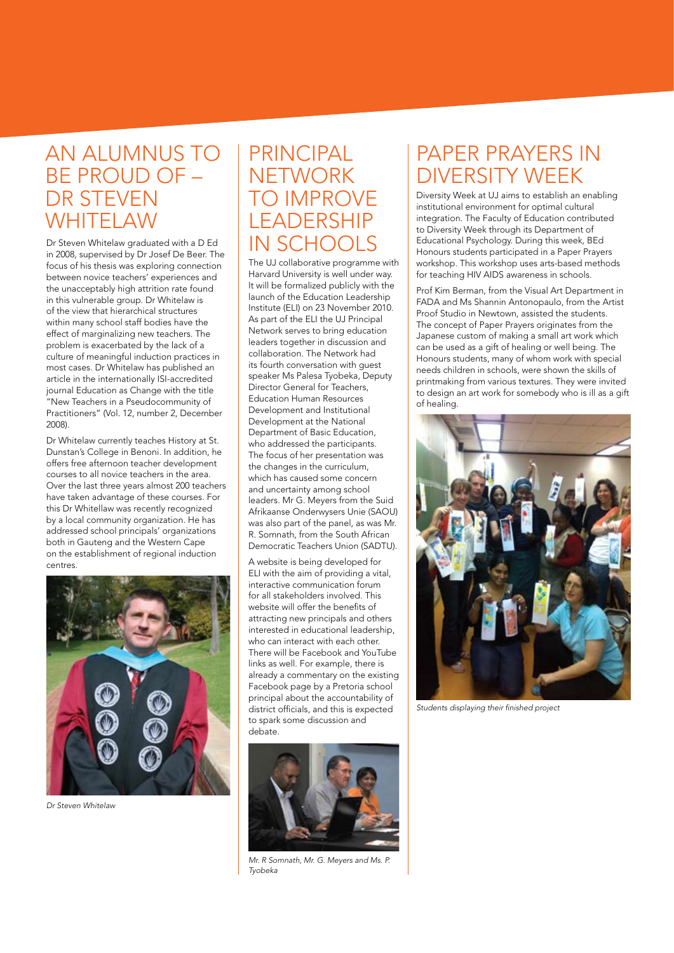#### AN ALUMNUS TO PRINCIPAL BE PROUD OF – DR STEVEN **WHITELAW**

Dr Steven Whitelaw graduated with a D Ed in 2008, supervised by Dr Josef De Beer. The focus of his thesis was exploring connection between novice teachers' experiences and the unacceptably high attrition rate found in this vulnerable group. Dr Whitelaw is of the view that hierarchical structures within many school staff bodies have the effect of marginalizing new teachers. The problem is exacerbated by the lack of a culture of meaningful induction practices in most cases. Dr Whitelaw has published an article in the internationally ISI-accredited journal Education as Change with the title "New Teachers in a Pseudocommunity of Practitioners" (Vol. 12, number 2, December 2008).

Dr Whitelaw currently teaches History at St. Dunstan's College in Benoni. In addition, he offers free afternoon teacher development courses to all novice teachers in the area. Over the last three years almost 200 teachers have taken advantage of these courses. For this Dr Whitellaw was recently recognized by a local community organization. He has addressed school principals' organizations both in Gauteng and the Western Cape on the establishment of regional induction centres



*Dr Steven Whitelaw* 

## **NETWORK** TO IMPROVE LEADERSHIP IN SCHOOLS

The UJ collaborative programme with Harvard University is well under way. It will be formalized publicly with the launch of the Education Leadership Institute (ELI) on 23 November 2010. As part of the ELI the UJ Principal Network serves to bring education leaders together in discussion and collaboration. The Network had its fourth conversation with guest speaker Ms Palesa Tyobeka, Deputy Director General for Teachers, Education Human Resources Development and Institutional Development at the National Department of Basic Education, who addressed the participants. The focus of her presentation was the changes in the curriculum, which has caused some concern and uncertainty among school leaders. Mr G. Meyers from the Suid Afrikaanse Onderwysers Unie (SAOU) was also part of the panel, as was Mr. R. Somnath, from the South African Democratic Teachers Union (SADTU).

A website is being developed for ELI with the aim of providing a vital, interactive communication forum for all stakeholders involved. This website will offer the benefits of attracting new principals and others interested in educational leadership, who can interact with each other. There will be Facebook and YouTube links as well. For example, there is already a commentary on the existing Facebook page by a Pretoria school principal about the accountability of district officials, and this is expected to spark some discussion and debate.



*Mr. R Somnath, Mr. G. Meyers and Ms. P. Tyobeka*

#### PAPER PRAYERS IN DIVERSITY WEEK

Diversity Week at UJ aims to establish an enabling institutional environment for optimal cultural integration. The Faculty of Education contributed to Diversity Week through its Department of Educational Psychology. During this week, BEd Honours students participated in a Paper Prayers workshop. This workshop uses arts-based methods for teaching HIV AIDS awareness in schools.

Prof Kim Berman, from the Visual Art Department in FADA and Ms Shannin Antonopaulo, from the Artist Proof Studio in Newtown, assisted the students. The concept of Paper Prayers originates from the Japanese custom of making a small art work which can be used as a gift of healing or well being. The Honours students, many of whom work with special needs children in schools, were shown the skills of printmaking from various textures. They were invited to design an art work for somebody who is ill as a gift of healing.



*Students displaying their finished project*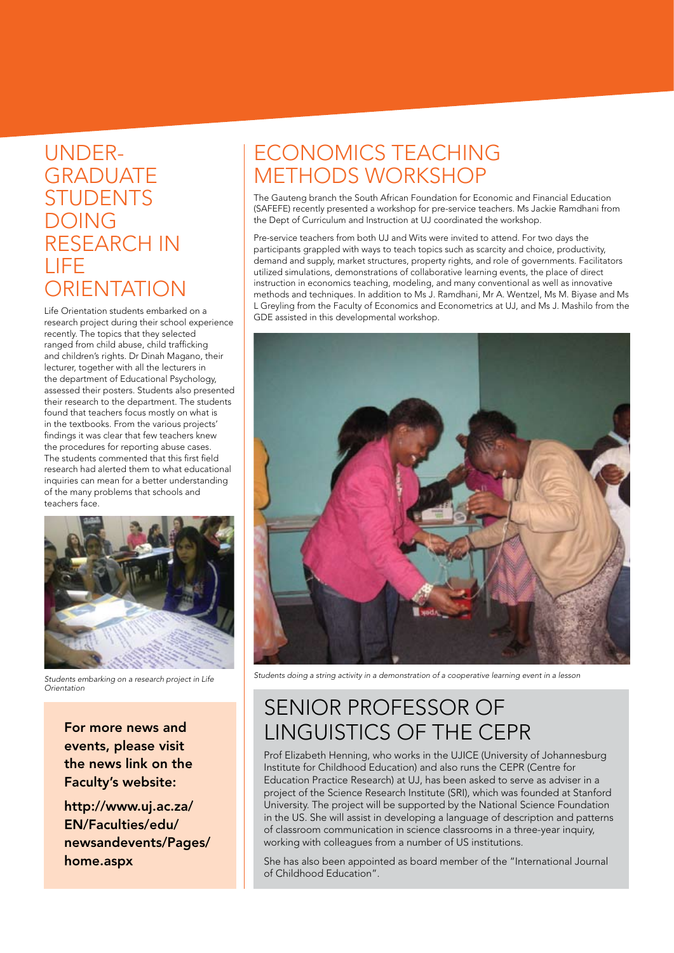#### UNDER-**GRADUATE STUDENTS** DOING RESEARCH IN LIFE **ORIENTATION**

Life Orientation students embarked on a research project during their school experience recently. The topics that they selected ranged from child abuse, child trafficking and children's rights. Dr Dinah Magano, their lecturer, together with all the lecturers in the department of Educational Psychology, assessed their posters. Students also presented their research to the department. The students found that teachers focus mostly on what is in the textbooks. From the various projects' findings it was clear that few teachers knew the procedures for reporting abuse cases. The students commented that this first field research had alerted them to what educational inquiries can mean for a better understanding of the many problems that schools and teachers face.



*Students embarking on a research project in Life Orientation*

For more news and events, please visit the news link on the Faculty's website:

http://www.uj.ac.za/ EN/Faculties/edu/ newsandevents/Pages/ home.aspx

#### ECONOMICS TEACHING METHODS WORKSHOP

The Gauteng branch the South African Foundation for Economic and Financial Education (SAFEFE) recently presented a workshop for pre-service teachers. Ms Jackie Ramdhani from the Dept of Curriculum and Instruction at UJ coordinated the workshop.

Pre-service teachers from both UJ and Wits were invited to attend. For two days the participants grappled with ways to teach topics such as scarcity and choice, productivity, demand and supply, market structures, property rights, and role of governments. Facilitators utilized simulations, demonstrations of collaborative learning events, the place of direct instruction in economics teaching, modeling, and many conventional as well as innovative methods and techniques. In addition to Ms J. Ramdhani, Mr A. Wentzel, Ms M. Biyase and Ms L Greyling from the Faculty of Economics and Econometrics at UJ, and Ms J. Mashilo from the GDE assisted in this developmental workshop.



*Students doing a string activity in a demonstration of a cooperative learning event in a lesson*

### SENIOR PROFESSOR OF LINGUISTICS OF THE CEPR

Prof Elizabeth Henning, who works in the UJICE (University of Johannesburg Institute for Childhood Education) and also runs the CEPR (Centre for Education Practice Research) at UJ, has been asked to serve as adviser in a project of the Science Research Institute (SRI), which was founded at Stanford University. The project will be supported by the National Science Foundation in the US. She will assist in developing a language of description and patterns of classroom communication in science classrooms in a three-year inquiry, working with colleagues from a number of US institutions.

She has also been appointed as board member of the "International Journal of Childhood Education".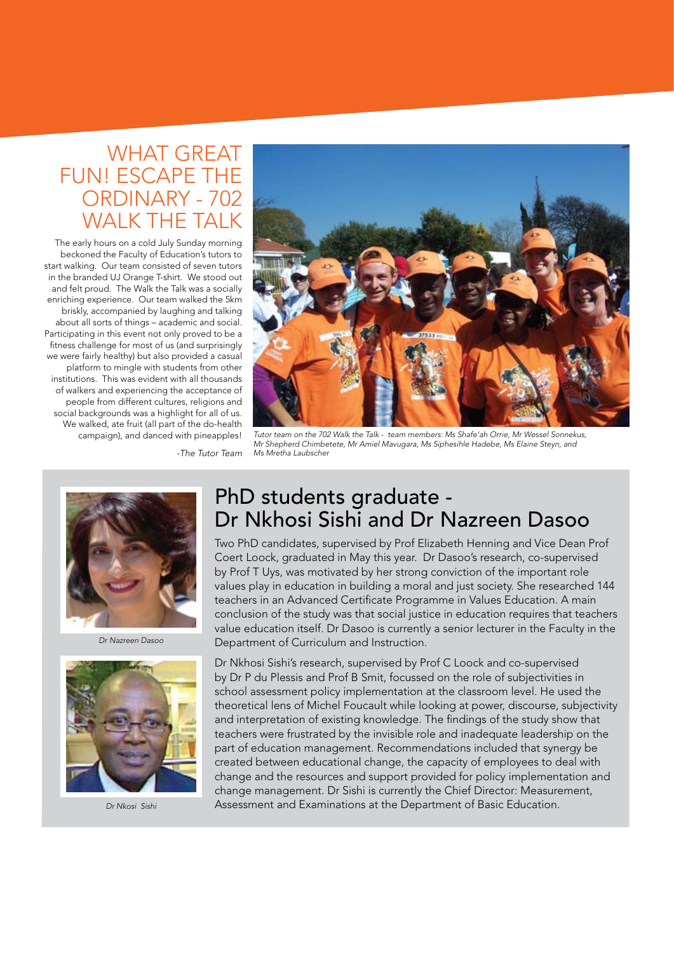#### WHAT GREAT FUN! ESCAPE THE ORDINARY - 702 WAI K THE TAI K

The early hours on a cold July Sunday morning beckoned the Faculty of Education's tutors to start walking. Our team consisted of seven tutors in the branded UJ Orange T-shirt. We stood out and felt proud. The Walk the Talk was a socially enriching experience. Our team walked the 5km briskly, accompanied by laughing and talking about all sorts of things – academic and social. Participating in this event not only proved to be a fitness challenge for most of us (and surprisingly we were fairly healthy) but also provided a casual platform to mingle with students from other institutions. This was evident with all thousands of walkers and experiencing the acceptance of people from different cultures, religions and social backgrounds was a highlight for all of us. We walked, ate fruit (all part of the do-health campaign), and danced with pineapples!

*-The Tutor Team*



*Tutor team on the 702 Walk the Talk - team members: Ms Shafe'ah Orrie, Mr Wessel Sonnekus, Mr Shepherd Chimbetete, Mr Amiel Mavugara, Ms Siphesihle Hadebe, Ms Elaine Steyn, and Ms Mretha Laubscher*



*Dr Nazreen Dasoo*



*Dr Nkosi Sishi*

#### PhD students graduate - Dr Nkhosi Sishi and Dr Nazreen Dasoo

Two PhD candidates, supervised by Prof Elizabeth Henning and Vice Dean Prof Coert Loock, graduated in May this year. Dr Dasoo's research, co-supervised by Prof T Uys, was motivated by her strong conviction of the important role values play in education in building a moral and just society. She researched 144 teachers in an Advanced Certificate Programme in Values Education. A main conclusion of the study was that social justice in education requires that teachers value education itself. Dr Dasoo is currently a senior lecturer in the Faculty in the Department of Curriculum and Instruction.

Dr Nkhosi Sishi's research, supervised by Prof C Loock and co-supervised by Dr P du Plessis and Prof B Smit, focussed on the role of subjectivities in school assessment policy implementation at the classroom level. He used the theoretical lens of Michel Foucault while looking at power, discourse, subjectivity and interpretation of existing knowledge. The findings of the study show that teachers were frustrated by the invisible role and inadequate leadership on the part of education management. Recommendations included that synergy be created between educational change, the capacity of employees to deal with change and the resources and support provided for policy implementation and change management. Dr Sishi is currently the Chief Director: Measurement, Assessment and Examinations at the Department of Basic Education.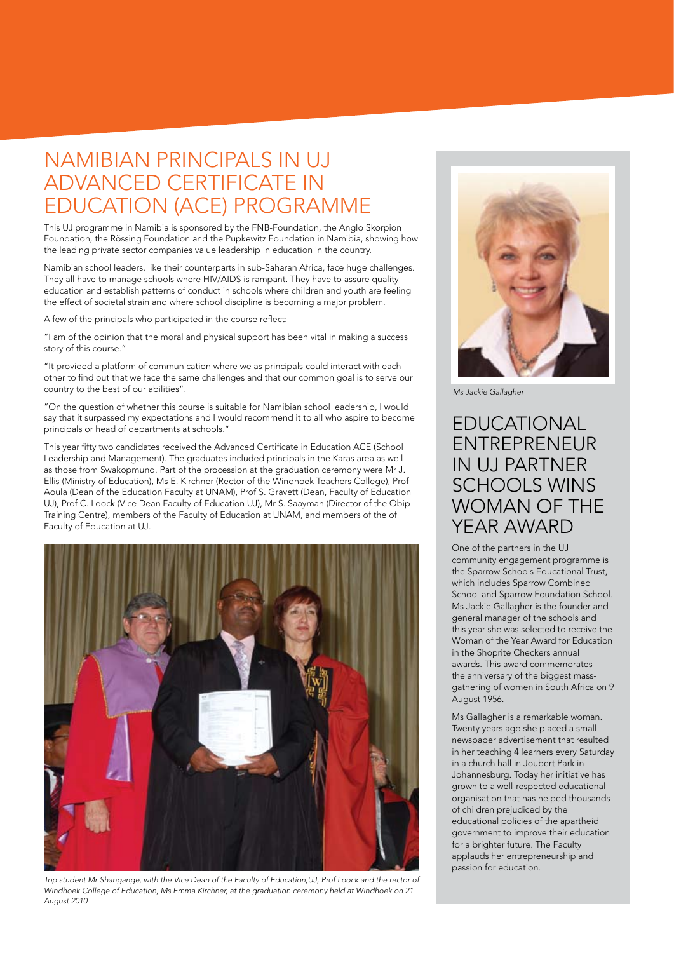#### NAMIBIAN PRINCIPALS IN UJ ADVANCED CERTIFICATE IN EDUCATION (ACE) PROGRAMME

This UJ programme in Namibia is sponsored by the FNB-Foundation, the Anglo Skorpion Foundation, the Rössing Foundation and the Pupkewitz Foundation in Namibia, showing how the leading private sector companies value leadership in education in the country.

Namibian school leaders, like their counterparts in sub-Saharan Africa, face huge challenges. They all have to manage schools where HIV/AIDS is rampant. They have to assure quality education and establish patterns of conduct in schools where children and youth are feeling the effect of societal strain and where school discipline is becoming a major problem.

A few of the principals who participated in the course reflect:

"I am of the opinion that the moral and physical support has been vital in making a success story of this course."

"It provided a platform of communication where we as principals could interact with each other to find out that we face the same challenges and that our common goal is to serve our country to the best of our abilities".

"On the question of whether this course is suitable for Namibian school leadership, I would say that it surpassed my expectations and I would recommend it to all who aspire to become principals or head of departments at schools."

This year fifty two candidates received the Advanced Certificate in Education ACE (School Leadership and Management). The graduates included principals in the Karas area as well as those from Swakopmund. Part of the procession at the graduation ceremony were Mr J. Ellis (Ministry of Education), Ms E. Kirchner (Rector of the Windhoek Teachers College), Prof Aoula (Dean of the Education Faculty at UNAM), Prof S. Gravett (Dean, Faculty of Education UJ), Prof C. Loock (Vice Dean Faculty of Education UJ), Mr S. Saayman (Director of the Obip Training Centre), members of the Faculty of Education at UNAM, and members of the of Faculty of Education at UJ.



*Top student Mr Shangange, with the Vice Dean of the Faculty of Education,UJ, Prof Loock and the rector of Windhoek College of Education, Ms Emma Kirchner, at the graduation ceremony held at Windhoek on 21 August 2010*



*Ms Jackie Gallagher*

#### EDUCATIONAL ENTREPRENEUR IN UJ PARTNER SCHOOLS WINS WOMAN OF THE YEAR AWARD

One of the partners in the UJ community engagement programme is the Sparrow Schools Educational Trust, which includes Sparrow Combined School and Sparrow Foundation School. Ms Jackie Gallagher is the founder and general manager of the schools and this year she was selected to receive the Woman of the Year Award for Education in the Shoprite Checkers annual awards. This award commemorates the anniversary of the biggest massgathering of women in South Africa on 9 August 1956.

Ms Gallagher is a remarkable woman. Twenty years ago she placed a small newspaper advertisement that resulted in her teaching 4 learners every Saturday in a church hall in Joubert Park in Johannesburg. Today her initiative has grown to a well-respected educational organisation that has helped thousands of children prejudiced by the educational policies of the apartheid government to improve their education for a brighter future. The Faculty applauds her entrepreneurship and passion for education.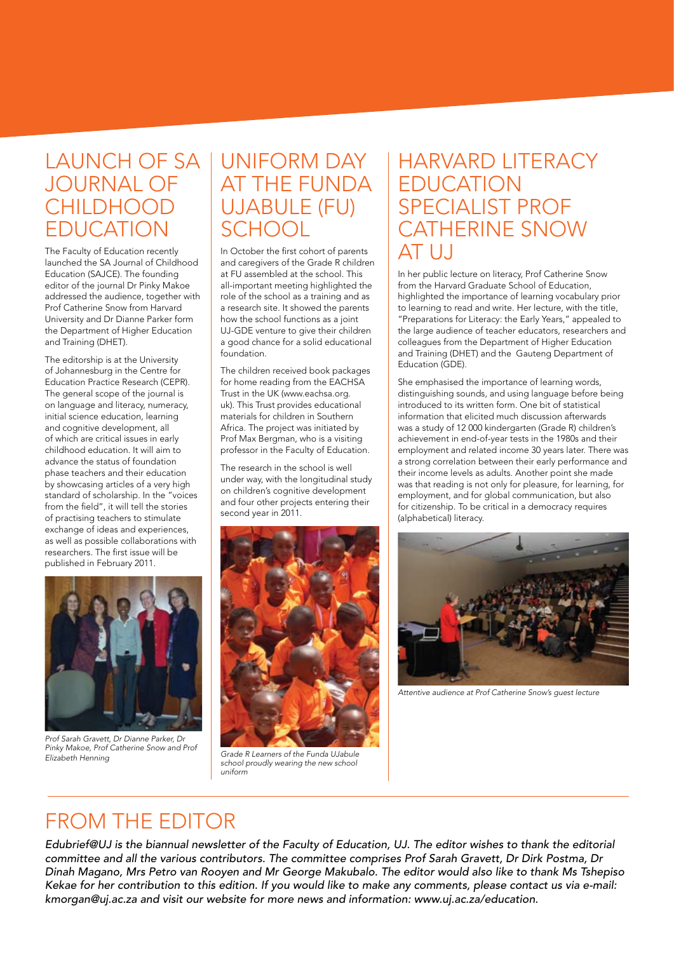#### LAUNCH OF SA UNIFORM DAY JOURNAL OF CHII DHOOD EDUCATION

The Faculty of Education recently launched the SA Journal of Childhood Education (SAJCE). The founding editor of the journal Dr Pinky Makoe addressed the audience, together with Prof Catherine Snow from Harvard University and Dr Dianne Parker form the Department of Higher Education and Training (DHET).

The editorship is at the University of Johannesburg in the Centre for Education Practice Research (CEPR). The general scope of the journal is on language and literacy, numeracy, initial science education, learning and cognitive development, all of which are critical issues in early childhood education. It will aim to advance the status of foundation phase teachers and their education by showcasing articles of a very high standard of scholarship. In the "voices from the field", it will tell the stories of practising teachers to stimulate exchange of ideas and experiences, as well as possible collaborations with researchers. The first issue will be published in February 2011.



*Prof Sarah Gravett, Dr Dianne Parker, Dr Pinky Makoe, Prof Catherine Snow and Prof Elizabeth Henning*

# AT THE FUNDA UJABULE (FU) SCHOOL

In October the first cohort of parents and caregivers of the Grade R children at FU assembled at the school. This all-important meeting highlighted the role of the school as a training and as a research site. It showed the parents how the school functions as a joint UJ-GDE venture to give their children a good chance for a solid educational foundation.

The children received book packages for home reading from the EACHSA Trust in the UK (www.eachsa.org. uk). This Trust provides educational materials for children in Southern Africa. The project was initiated by Prof Max Bergman, who is a visiting professor in the Faculty of Education.

The research in the school is well under way, with the longitudinal study on children's cognitive development and four other projects entering their second year in 2011.



*Grade R Learners of the Funda UJabule school proudly wearing the new school uniform* 

#### HARVARD LITERACY EDUCATION SPECIALIST PROF CATHERINE SNOW AT U.J

In her public lecture on literacy, Prof Catherine Snow from the Harvard Graduate School of Education, highlighted the importance of learning vocabulary prior to learning to read and write. Her lecture, with the title, "Preparations for Literacy: the Early Years," appealed to the large audience of teacher educators, researchers and colleagues from the Department of Higher Education and Training (DHET) and the Gauteng Department of Education (GDE).

She emphasised the importance of learning words, distinguishing sounds, and using language before being introduced to its written form. One bit of statistical information that elicited much discussion afterwards was a study of 12 000 kindergarten (Grade R) children's achievement in end-of-year tests in the 1980s and their employment and related income 30 years later. There was a strong correlation between their early performance and their income levels as adults. Another point she made was that reading is not only for pleasure, for learning, for employment, and for global communication, but also for citizenship. To be critical in a democracy requires (alphabetical) literacy.



*Attentive audience at Prof Catherine Snow's guest lecture*

#### FROM THE EDITOR

*Edubrief@UJ is the biannual newsletter of the Faculty of Education, UJ. The editor wishes to thank the editorial committee and all the various contributors. The committee comprises Prof Sarah Gravett, Dr Dirk Postma, Dr Dinah Magano, Mrs Petro van Rooyen and Mr George Makubalo. The editor would also like to thank Ms Tshepiso Kekae for her contribution to this edition. If you would like to make any comments, please contact us via e-mail: kmorgan@uj.ac.za and visit our website for more news and information: www.uj.ac.za/education.*